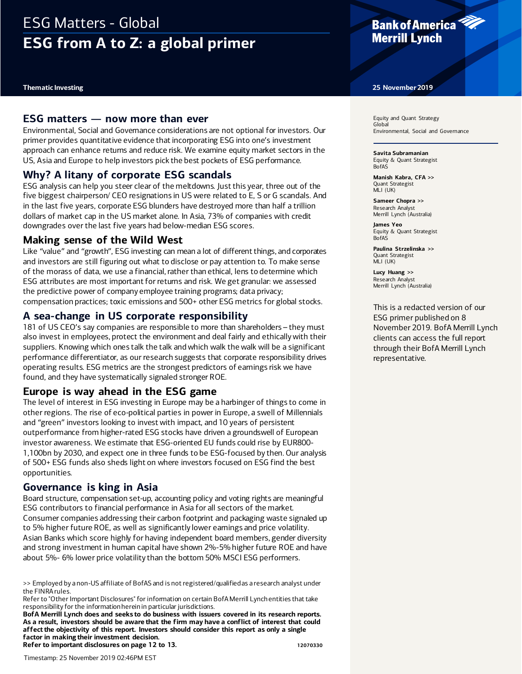# ESG Matters - Global **ESG from A to Z: a global primer**

### **ESG matters — now more than ever**

Environmental, Social and Governance considerations are not optional for investors. Our primer provides quantitative evidence that incorporating ESG into one's investment approach can enhance returns and reduce risk. We examine equity market sectors in the US, Asia and Europe to help investors pick the best pockets of ESG performance.

## **Why? A litany of corporate ESG scandals**

ESG analysis can help you steer clear of the meltdowns. Just this year, three out of the five biggest chairperson/ CEO resignations in US were related to E, S or G scandals. And in the last five years, corporate ESG blunders have destroyed more than half a trillion dollars of market cap in the US market alone. In Asia, 73% of companies with credit downgrades over the last five years had below-median ESG scores.

### **Making sense of the Wild West**

Like "value" and "growth", ESG investing can mean a lot of different things, and corporates and investors are still figuring out what to disclose or pay attention to. To make sense of the morass of data, we use a financial, rather than ethical, lens to determine which ESG attributes are most important for returns and risk. We get granular: we assessed the predictive power of company employee training programs; data privacy; compensation practices; toxic emissions and 500+ other ESG metrics for global stocks.

# **A sea-change in US corporate responsibility**

181 of US CEO's say companies are responsible to more than shareholders – they must also invest in employees, protect the environment and deal fairly and ethically with their suppliers. Knowing which ones talk the talk and which walk the walk will be a significant performance differentiator, as our research suggests that corporate responsibility drives operating results. ESG metrics are the strongest predictors of earnings risk we have found, and they have systematically signaled stronger ROE.

## **Europe is way ahead in the ESG game**

The level of interest in ESG investing in Europe may be a harbinger of things to come in other regions. The rise of eco-political parties in power in Europe, a swell of Millennials and "green" investors looking to invest with impact, and 10 years of persistent outperformance from higher-rated ESG stocks have driven a groundswell of European investor awareness. We estimate that ESG-oriented EU funds could rise by EUR800- 1,100bn by 2030, and expect one in three funds to be ESG-focused by then. Our analysis of 500+ ESG funds also sheds light on where investors focused on ESG find the best opportunities.

## **Governance is king in Asia**

Board structure, compensation set-up, accounting policy and voting rights are meaningful ESG contributors to financial performance in Asia for all sectors of the market. Consumer companies addressing their carbon footprint and packaging waste signaled up to 5% higher future ROE, as well as significantly lower earnings and price volatility. Asian Banks which score highly for having independent board members, gender diversity and strong investment in human capital have shown 2%-5% higher future ROE and have about 5%- 6% lower price volatility than the bottom 50% MSCI ESG performers.

**BofA Merrill Lynch does and seeks to do business with issuers covered in its research reports. As a result, investors should be aware that the firm may have a conflict of interest that could affect the objectivity of this report. Investors should consider this report as only a single factor in making their investment decision. Refer to important disclosures on page 12 to 13. 12070330** 



#### **Thematic Investing 25 November 2019**

Equity and Quant Strategy Global Environmental, Social and Governance

**Savita Subramanian** Equity & Quant Strategist BofAS

**Manish Kabra, CFA >>** Quant Strategist  $MLI$  ( $UKI$ )

**Sameer Chopra >>** Research Analyst Merrill Lynch (Australia)

**James Yeo** Equity & Quant Strategist BofAS

**Paulina Strzelinska >>** Quant Strategist MLI (UK)

**Lucy Huang >>** Research Analyst Merrill Lynch (Australia)

This is a redacted version of our ESG primer published on 8 November 2019. BofA Merrill Lynch clients can access the full report through their BofA Merrill Lynch representative.

<sup>&</sup>gt;> Employed by a non-US affiliate of BofAS and is not registered/qualified as a research analyst under the FINRA rules.

Refer to "Other Important Disclosures" for information on certain BofA Merrill Lynch entities that take responsibility for the informationherein in particular jurisdictions.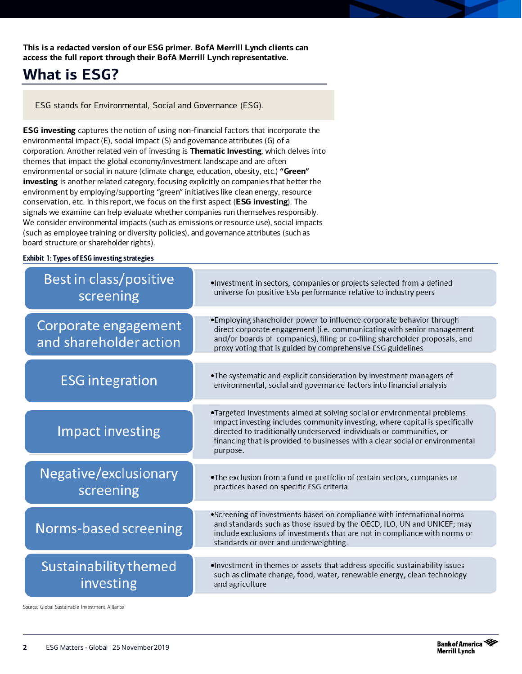**This is a redacted version of our ESG primer. BofA Merrill Lynch clients can access the full report through their BofA Merrill Lynch representative.**

# **What is ESG?**

ESG stands for Environmental, Social and Governance (ESG).

**ESG investing** captures the notion of using non-financial factors that incorporate the environmental impact (E), social impact (S) and governance attributes (G) of a corporation. Another related vein of investing is **Thematic Investing**, which delves into themes that impact the global economy/investment landscape and are often environmental or social in nature (climate change, education, obesity, etc.) **"Green" investing** is another related category, focusing explicitly on companies that better the environment by employing/supporting "green" initiatives like clean energy, resource conservation, etc. In this report, we focus on the first aspect (**ESG investing**). The signals we examine can help evaluate whether companies run themselves responsibly. We consider environmental impacts (such as emissions or resource use), social impacts (such as employee training or diversity policies), and governance attributes (such as board structure or shareholder rights).

#### Exhibit 1: Types of ESG investing strategies

| <b>Best in class/positive</b><br>screening     | . Investment in sectors, companies or projects selected from a defined<br>universe for positive ESG performance relative to industry peers                                                                                                                                                                                    |
|------------------------------------------------|-------------------------------------------------------------------------------------------------------------------------------------------------------------------------------------------------------------------------------------------------------------------------------------------------------------------------------|
| Corporate engagement<br>and shareholder action | •Employing shareholder power to influence corporate behavior through<br>direct corporate engagement (i.e. communicating with senior management<br>and/or boards of companies), filing or co-filing shareholder proposals, and<br>proxy voting that is guided by comprehensive ESG guidelines                                  |
| <b>ESG</b> integration                         | . The systematic and explicit consideration by investment managers of<br>environmental, social and governance factors into financial analysis                                                                                                                                                                                 |
| <b>Impact investing</b>                        | .Targeted investments aimed at solving social or environmental problems.<br>Impact investing includes community investing, where capital is specifically<br>directed to traditionally underserved individuals or communities, or<br>financing that is provided to businesses with a clear social or environmental<br>purpose. |
| Negative/exclusionary<br>screening             | . The exclusion from a fund or portfolio of certain sectors, companies or<br>practices based on specific ESG criteria.                                                                                                                                                                                                        |
| Norms-based screening                          | •Screening of investments based on compliance with international norms<br>and standards such as those issued by the OECD, ILO, UN and UNICEF; may<br>include exclusions of investments that are not in compliance with norms or<br>standards or over and underweighting.                                                      |
| Sustainability themed<br>investing             | . Investment in themes or assets that address specific sustainability issues<br>such as climate change, food, water, renewable energy, clean technology<br>and agriculture                                                                                                                                                    |

Source: Global Sustainable Investment Alliance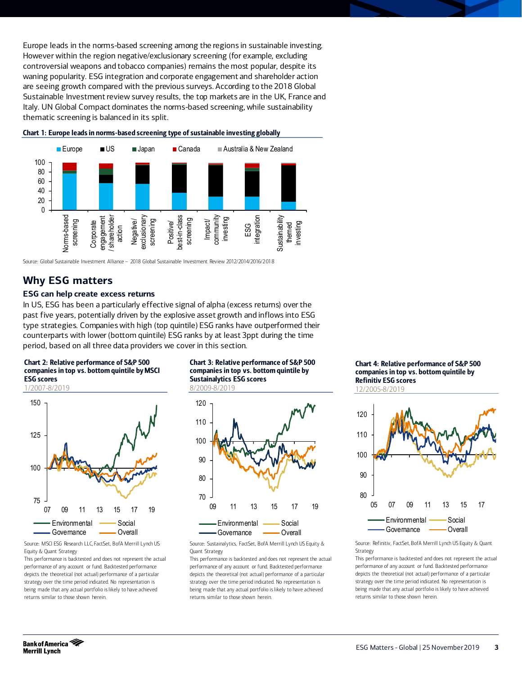Europe leads in the norms-based screening among the regions in sustainable investing. However within the region negative/exclusionary screening (for example, excluding controversial weapons and tobacco companies) remains the most popular, despite its waning popularity. ESG integration and corporate engagement and shareholder action are seeing growth compared with the previous surveys. According to the 2018 Global Sustainable Investment review survey results, the top markets are in the UK, France and Italy. UN Global Compact dominates the norms-based screening, while sustainability thematic screening is balanced in its split.



Chart 1: Europe leads in norms-based screening type of sustainable investing globally

Source: Global Sustainable Investment Alliance – 2018 Global Sustainable Investment Review 2012/2014/2016/2018

# **Why ESG matters**

#### **ESG can help create excess returns**

In US, ESG has been a particularly effective signal of alpha (excess returns) over the past five years, potentially driven by the explosive asset growth and inflows into ESG type strategies. Companies with high (top quintile) ESG ranks have outperformed their counterparts with lower (bottom quintile) ESG ranks by at least 3ppt during the time period, based on all three data providers we cover in this section.

#### Chart 2: Relative performance of S&P 500 companies in top vs. bottom quintile by MSCI ESG scores





Source: MSCI ESG Research LLC, FactSet, BofA Merrill Lynch US Equity & Quant Strategy

This performance is backtested and does not represent the actual performance of any account or fund. Backtested performance depicts the theoretical (not actual) performance of a particular strategy over the time period indicated. No representation is being made that any actual portfolio is likely to have achieved returns similar to those shown herein.

Chart 3: Relative performance of S&P 500 companies in top vs. bottom quintile by Sustainalytics ESG scores 8/2009-8/2019



Source: Sustainalytics, FactSet, BofA Merrill Lynch US Equity & Quant Strategy

This performance is backtested and does not represent the actual performance of any account or fund. Backtested performance depicts the theoretical (not actual) performance of a particular strategy over the time period indicated. No representation is being made that any actual portfolio is likely to have achieved returns similar to those shown herein.

Chart 4: Relative performance of S&P 500 companies in top vs. bottom quintile by Refinitiv ESG scores 12/2005-8/2019



Source: Refinitiv, FactSet, BofA Merrill Lynch US Equity & Quant Strategy

This performance is backtested and does not represent the actual performance of any account or fund. Backtested performance depicts the theoretical (not actual) performance of a particular strategy over the time period indicated. No representation is being made that any actual portfolio is likely to have achieved returns similar to those shown herein.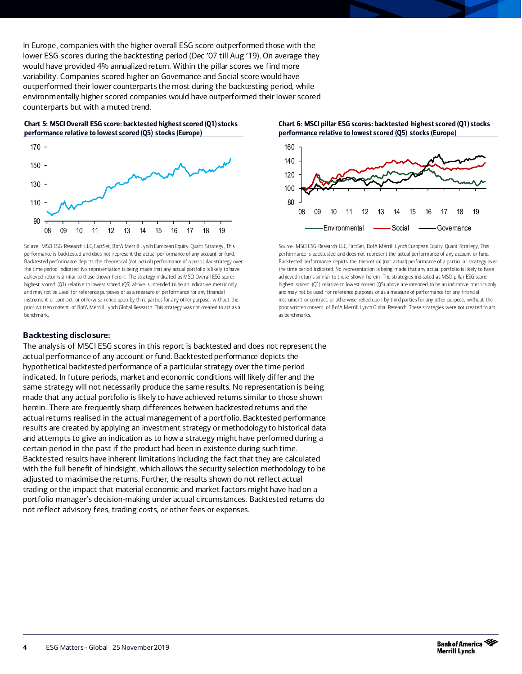In Europe, companies with the higher overall ESG score outperformed those with the lower ESG scores during the backtesting period (Dec '07 till Aug '19). On average they would have provided 4% annualized return. Within the pillar scores we find more variability. Companies scored higher on Governance and Social score would have outperformed their lower counterparts the most during the backtesting period, while environmentally higher scored companies would have outperformed their lower scored counterparts but with a muted trend.

Chart 5: MSCI Overall ESG score: backtested highest scored (Q1) stocks performance relative to lowest scored (Q5) stocks (Europe)



Source: MSCI ESG Research LLC, FactSet, BofA Merrill Lynch European Equity Quant Strategy; This performance is backtested and does not represent the actual performance of any account or fund. Backtested performance depicts the theoretical (not actual) performance of a particular strategy over the time period indicated. No representation is being made that any actual portfolio is likely to have achieved returns similar to those shown herein. The strategy indicated as MSCI Overall ESG score: highest scored (Q1) relative to lowest scored (Q5) above is intended to be an indicative metric only and may not be used for reference purposes or as a measure of performance for any financial instrument or contract, or otherwise relied upon by third parties for any other purpose, without the prior written consent of BofA Merrill Lynch Global Research. This strategy was not created to act as a benchmark.

#### **Backtesting disclosure:**

The analysis of MSCI ESG scores in this report is backtested and does not represent the actual performance of any account or fund. Backtested performance depicts the hypothetical backtested performance of a particular strategy over the time period indicated. In future periods, market and economic conditions will likely differ and the same strategy will not necessarily produce the same results. No representation is being made that any actual portfolio is likely to have achieved returns similar to those shown herein. There are frequently sharp differences between backtested returns and the actual returns realised in the actual management of a portfolio. Backtested performance results are created by applying an investment strategy or methodology to historical data and attempts to give an indication as to how a strategy might have performed during a certain period in the past if the product had been in existence during such time. Backtested results have inherent limitations including the fact that they are calculated with the full benefit of hindsight, which allows the security selection methodology to be adjusted to maximise the returns. Further, the results shown do not reflect actual trading or the impact that material economic and market factors might have had on a portfolio manager's decision-making under actual circumstances. Backtested returns do not reflect advisory fees, trading costs, or other fees or expenses.

Chart 6: MSCI pillar ESG scores: backtested highest scored (Q1) stocks performance relative to lowest scored (Q5) stocks (Europe)



Source: MSCI ESG Research LLC, FactSet, BofA Merrill Lynch European Equity Quant Strategy; This performance is backtested and does not represent the actual performance of any account or fund. Backtested performance depicts the theoretical (not actual) performance of a particular strategy over the time period indicated. No representation is being made that any actual portfolio is likely to have achieved returns similar to those shown herein. The strategies indicated as MSCI pillar ESG score: highest scored (Q1) relative to lowest scored (Q5) above are intended to be an indicative metrics only and may not be used for reference purposes or as a measure of performance for any financial instrument or contract, or otherwise relied upon by third parties for any other purpose, without the prior written consent of BofA Merrill Lynch Global Research. These strategies were not created to act as benchmarks.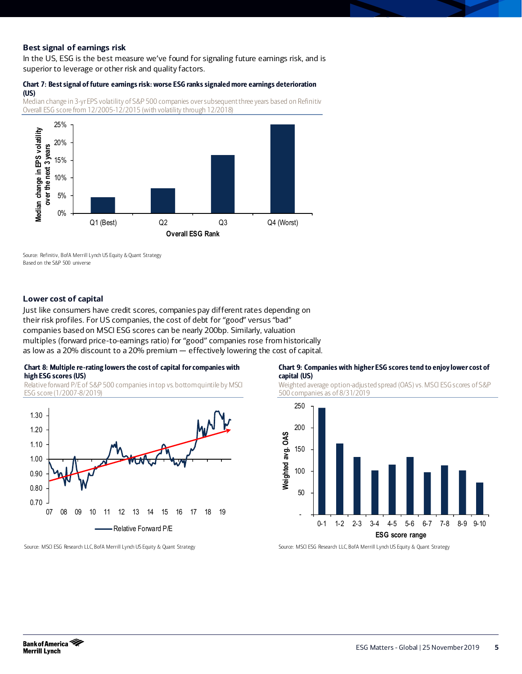### **Best signal of earnings risk**

In the US, ESG is the best measure we've found for signaling future earnings risk, and is superior to leverage or other risk and quality factors.

#### Chart 7: Best signal of future earnings risk: worse ESG ranks signaled more earnings deterioration (US)

Median change in 3-yr EPS volatility of S&P 500 companies over subsequent three years based on Refinitiv Overall ESG score from 12/2005-12/2015 (with volatility through 12/2018)



Source: Refinitiv, BofA Merrill Lynch US Equity & Quant Strategy Based on the S&P 500 universe

#### **Lower cost of capital**

Just like consumers have credit scores, companies pay different rates depending on their risk profiles. For US companies, the cost of debt for "good" versus "bad" companies based on MSCI ESG scores can be nearly 200bp. Similarly, valuation multiples (forward price-to-earnings ratio) for "good" companies rose from historically as low as a 20% discount to a 20% premium — effectively lowering the cost of capital.

#### Chart 8: Multiple re-rating lowers the cost of capital for companies with high ESG scores (US)

Relative forward P/E of S&P 500 companies in top vs. bottom quintile by MSCI ESG score (1/2007-8/2019)



#### Chart 9: Companies with higher ESG scores tend to enjoy lower cost of capital (US)

Weighted average option-adjusted spread (OAS) vs. MSCI ESG scores of S&P 500 companies as of 8/31/2019



Source: MSCI ESG Research LLC, BofA Merrill Lynch US Equity & Quant Strategy

Source: MSCI ESG Research LLC, BofA Merrill Lynch US Equity & Quant Strategy

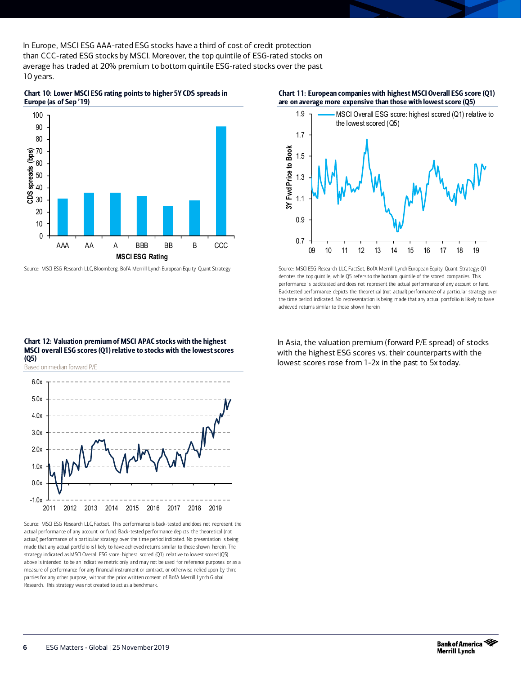In Europe, MSCI ESG AAA-rated ESG stocks have a third of cost of credit protection than CCC-rated ESG stocks by MSCI. Moreover, the top quintile of ESG-rated stocks on average has traded at 20% premium to bottom quintile ESG-rated stocks over the past 10 years.

Chart 10: Lower MSCI ESG rating points to higher 5Y CDS spreads in Europe (as of Sep '19)



Source: MSCI ESG Research LLC, Bloomberg, BofA Merrill Lynch European Equity Quant Strategy





Source: MSCI ESG Research LLC, FactSet, BofA Merrill Lynch European Equity Quant Strategy; Q1 denotes the top quintile, while Q5 refers to the bottom quintile of the scored companies. This performance is backtested and does not represent the actual performance of any account or fund. Backtested performance depicts the theoretical (not actual) performance of a particular strategy over the time period indicated. No representation is being made that any actual portfolio is likely to have achieved returns similar to those shown herein.

In Asia, the valuation premium (forward P/E spread) of stocks with the highest ESG scores vs. their counterparts with the lowest scores rose from 1-2x in the past to 5x today.



MSCI overall ESG scores(Q1) relative to stocks with the lowest scores (Q5) Based on median forward P/E

Chart 12: Valuation premium of MSCI APAC stocks with the highest

Source: MSCI ESG Research LLC, Factset. This performance is back-tested and does not represent the actual performance of any account or fund. Back-tested performance depicts the theoretical (not actual) performance of a particular strategy over the time period indicated. No presentation is being made that any actual portfolio is likely to have achieved returns similar to those shown herein. The strategy indicated as MSCI Overall ESG score: highest scored (Q1) relative to lowest scored (Q5) above is intended to be an indicative metric only and may not be used for reference purposes or as a measure of performance for any financial instrument or contract, or otherwise relied upon by third parties for any other purpose, without the prior written consent of BofA Merrill Lynch Global Research. This strategy was not created to act as a benchmark.

2011 2012 2013 2014 2015 2016 2017 2018 2019

 $-1.0x$ 0.0x 1.0x

2.0x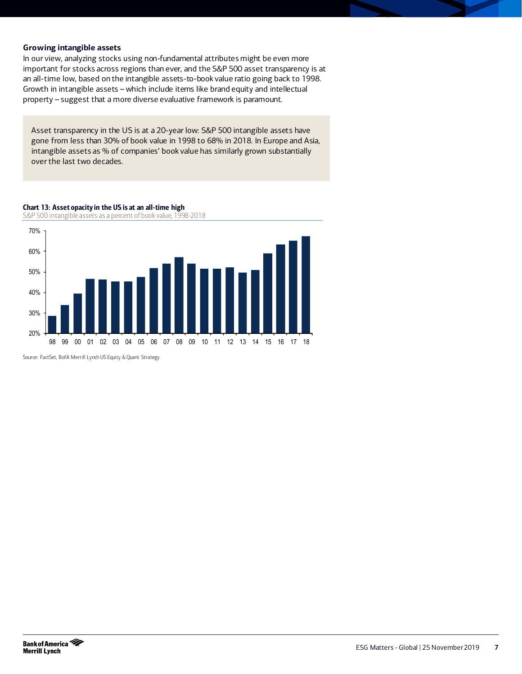#### **Growing intangible assets**

In our view, analyzing stocks using non-fundamental attributes might be even more important for stocks across regions than ever, and the S&P 500 asset transparency is at an all-time low, based on the intangible assets-to-book value ratio going back to 1998. Growth in intangible assets – which include items like brand equity and intellectual property – suggest that a more diverse evaluative framework is paramount.

Asset transparency in the US is at a 20-year low: S&P 500 intangible assets have gone from less than 30% of book value in 1998 to 68% in 2018. In Europe and Asia, intangible assets as % of companies' book value has similarly grown substantially over the last two decades.

#### Chart 13: Asset opacity in the US is at an all-time high

S&P 500 intangible assets as a percent of book value, 1998-2018



Source: FactSet, BofA Merrill Lynch US Equity & Quant Strategy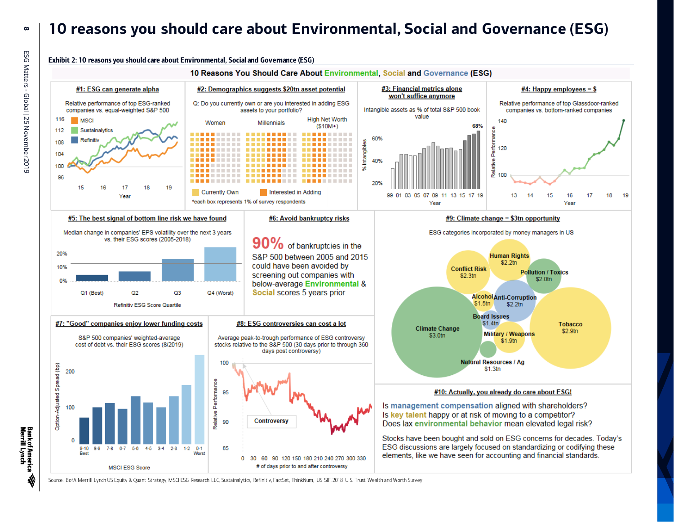# **10 reasons you should care about Environmental, Social and Governance (ESG)**



Source: BofA Merrill Lynch US Equity & Quant Strategy, MSCI ESG Research LLC, Sustainalytics, Refinitiv, FactSet, ThinkNum, US SIF, 2018 U.S. Trust Wealth and Worth Survey

**8**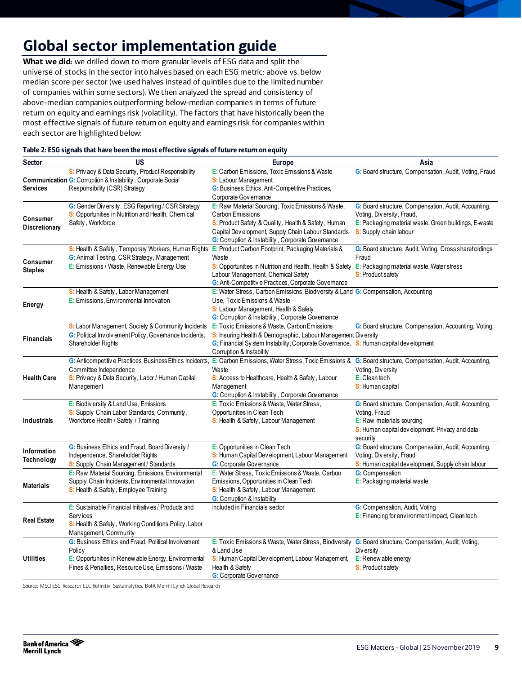# **Global sector implementation guide**

**What we did:** we drilled down to more granular levels of ESG data and split the universe of stocks in the sector into halves based on each ESG metric: above vs. below median score per sector (we used halves instead of quintiles due to the limited number of companies within some sectors). We then analyzed the spread and consistency of above-median companies outperforming below-median companies in terms of future return on equity and earnings risk (volatility). The factors that have historically been the most effective signals of future return on equity and earnings risk for companies within each sector are highlighted below:

| Sector                     | <b>US</b>                                                                                                                                                                   | <b>Europe</b>                                                                                                                                                                                                                                                           | Asia                                                                                                                                                                 |
|----------------------------|-----------------------------------------------------------------------------------------------------------------------------------------------------------------------------|-------------------------------------------------------------------------------------------------------------------------------------------------------------------------------------------------------------------------------------------------------------------------|----------------------------------------------------------------------------------------------------------------------------------------------------------------------|
| <b>Services</b>            | S: Priv acy & Data Security, Product Responsibility<br>Communication G: Corruption & Instability, Corporate Social<br>Responsibility (CSR) Strategy                         | E: Carbon Emissions, Toxic Emissions & Waste<br><b>S:</b> Labour Management<br>G: Business Ethics, Anti-Competitive Practices,<br>Corporate Governance                                                                                                                  | G: Board structure, Compensation, Audit, Voting, Fraud                                                                                                               |
| Consumer<br>Discretionary  | G: Gender Div ersity, ESG Reporting / CSR Strategy<br>S: Opportunities in Nutrition and Health, Chemical<br>Safety, Workforce                                               | E: Raw Material Sourcing, Toxic Emissions & Waste,<br>Carbon Emissions<br>S: Product Safety & Quality, Health & Safety, Human<br>Capital Dev elopment, Supply Chain Labour Standards<br>G: Corruption & Instability, Corporate Governance                               | G: Board structure, Compensation, Audit, Accounting,<br>Voting, Diversity, Fraud,<br>E: Packaging material waste, Green buildings, E-waste<br>S: Supply chain labour |
| Consumer<br><b>Staples</b> | S: Health & Safety, Temporary Workers, Human Rights<br>G: Animal Testing, CSR Strategy, Management<br>E: Emissions / Waste, Renewable Energy Use                            | E: Product Carbon Footprint, Packaging Materials &<br>Waste<br>S: Opportunities in Nutrition and Health, Health & Safety, E: Packaging material waste, Water stress<br>Labour Management, Chemical Safety<br><b>G:</b> Anti-Competitive Practices, Corporate Governance | G: Board structure, Audit, Voting, Cross shareholdings,<br>Fraud<br><b>S:</b> Product safety                                                                         |
| <b>Energy</b>              | S: Health & Safety, Labor Management<br>E: Emissions, Environmental Innovation                                                                                              | E: Water Stress, Carbon Emissions, Biodiversity & Land G: Compensation, Accounting<br>Use, Toxic Emissions & Waste<br>S: Labour Management, Health & Safety<br>G: Corruption & Instability, Corporate Governance                                                        |                                                                                                                                                                      |
| <b>Financials</b>          | S: Labor Management, Society & Community Incidents<br>G: Political Involvement Policy, Govemance Incidents,<br>Shareholder Rights                                           | E: Tox ic Emissions & Waste, Carbon Emissions<br>S: Insuring Health & Demographic, Labour Management Diversity<br>G: Financial Sy stem Instability, Corporate Governance, S: Human capital development<br>Corruption & Instability                                      | G: Board structure, Compensation, Accounting, Voting,                                                                                                                |
| <b>Health Care</b>         | Committee Independence<br>S: Priv acy & Data Security, Labor / Human Capital<br>Management                                                                                  | G: Anticompetitive Practices, Business Ethics Incidents, E: Carbon Emissions, Water Stress, Toxic Emissions & G: Board structure, Compensation, Audit, Accounting,<br>Waste<br>S: Access to Healthcare, Health & Safety, Labour<br>Management                           | Voting, Diversity<br>E: Clean tech<br>S: Human capital                                                                                                               |
| <b>Industrials</b>         | E: Biodiv ersity & Land Use, Emissions<br>S: Supply Chain Labor Standards, Community,<br>Workforce Health / Safety / Training                                               | G: Corruption & Instability, Corporate Governance<br>E: Tox ic Emissions & Waste, Water Stress,<br>Opportunities in Clean Tech<br>S: Health & Safety, Labour Management                                                                                                 | G: Board structure, Compensation, Audit, Accounting,<br>Voting, Fraud<br>E: Raw materials sourcing<br>S: Human capital dev elopment, Privacy and data<br>security    |
| Information<br>Technology  | G: Business Ethics and Fraud, Board Diversity /<br>Independence, Shareholder Rights<br>S: Supply Chain Management / Standards                                               | E: Opportunities in Clean Tech<br>S: Human Capital Dev elopment, Labour Management<br><b>G:</b> Corporate Governance                                                                                                                                                    | G: Board structure, Compensation, Audit, Accounting,<br>Voting, Diversity, Fraud<br>S: Human capital dev elopment, Supply chain labour                               |
| <b>Materials</b>           | E: Raw Material Sourcing, Emissions, Environmental<br>Supply Chain Incidents, Environmental Innovation<br>S: Health & Safety, Employee Training                             | E: Water Stress, Tox ic Emissions & Waste, Carbon<br>Emissions, Opportunities in Clean Tech<br>S: Health & Safety, Labour Management<br><b>G:</b> Corruption & Instability                                                                                              | <b>G:</b> Compensation<br>E: Packaging material waste                                                                                                                |
| <b>Real Estate</b>         | E: Sustainable Financial Initiatives / Products and<br>Serv ices<br>S: Health & Safety, Working Conditions Policy, Labor<br>Management, Community                           | Included in Financials sector                                                                                                                                                                                                                                           | G: Compensation, Audit, Voting<br>E: Financing for environment impact, Clean tech                                                                                    |
| <b>Utilities</b>           | G: Business Ethics and Fraud, Political Involvement<br>Policy<br>E: Opportunities in Renew able Energy, Environmental<br>Fines & Penalties, Resource Use, Emissions / Waste | E: Tox ic Emissions & Waste, Water Stress, Biodiversity G: Board structure, Compensation, Audit, Voting,<br>& Land Use<br>S: Human Capital Dev elopment, Labour Management,<br>Health & Safety<br><b>G:</b> Corporate Gov ernance                                       | Div ersity<br>E: Renew able energy<br><b>S:</b> Product safety                                                                                                       |

Source: MSCI ESG Research LLC, Refinitiv, Sustainalytics, BofA Merrill Lynch Global Research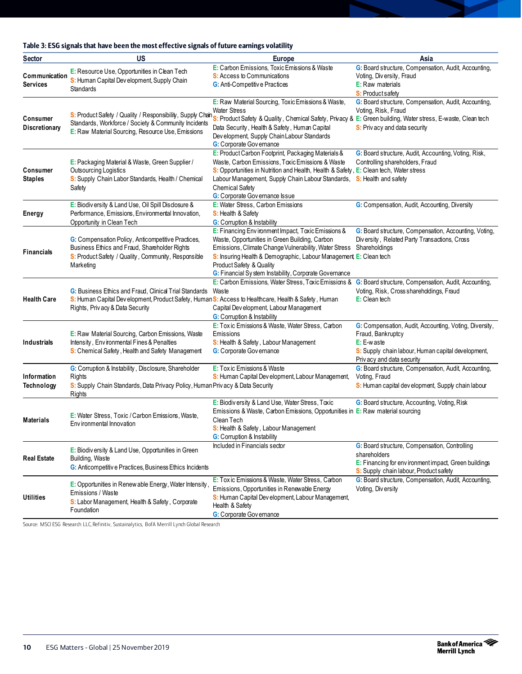#### Table 3: ESG signals that have been the most effective signals of future earnings volatility

| Sector                                  | <b>US</b>                                                                                                                                                                                          | <b>Europe</b>                                                                                                                                                                                                                                                                                                                                                                   | Asia                                                                                                                                                                             |
|-----------------------------------------|----------------------------------------------------------------------------------------------------------------------------------------------------------------------------------------------------|---------------------------------------------------------------------------------------------------------------------------------------------------------------------------------------------------------------------------------------------------------------------------------------------------------------------------------------------------------------------------------|----------------------------------------------------------------------------------------------------------------------------------------------------------------------------------|
| <b>Communication</b><br><b>Services</b> | E: Resource Use, Opportunities in Clean Tech<br>S: Human Capital Dev elopment, Supply Chain<br><b>Standards</b>                                                                                    | E: Carbon Emissions, Toxic Emissions & Waste<br><b>S:</b> Access to Communications<br>G: Anti-Competitive Practices                                                                                                                                                                                                                                                             | G: Board structure, Compensation, Audit, Accounting,<br>Voting, Diversity, Fraud<br><b>E:</b> Raw materials<br><b>S:</b> Product safety                                          |
| Consumer<br>Discretionary               | Standards, Workforce / Society & Community Incidents<br>E: Raw Material Sourcing, Resource Use, Emissions                                                                                          | E: Raw Material Sourcing, Toxic Emissions & Waste,<br><b>Water Stress</b><br>S: Product Safety / Quality / Responsibility, Supply Chan Will be a strategy & Quality, Chemical Safety, Privacy & E: Green building, Water stress, E-waste, Clean tech<br>Data Security, Health & Safety, Human Capital<br>Dev elopment, Supply Chain Labour Standards<br>G: Corporate Governance | G: Board structure, Compensation, Audit, Accounting,<br>Voting, Risk, Fraud<br>S: Priv acy and data security                                                                     |
| Consumer<br><b>Staples</b>              | E: Packaging Material & Waste, Green Supplier /<br>Outsourcing Logistics<br>S: Supply Chain Labor Standards, Health / Chemical<br>Safety                                                           | E: Product Carbon Footprint, Packaging Materials &<br>Waste, Carbon Emissions, Toxic Emissions & Waste<br>S: Opportunities in Nutrition and Health, Health & Safety, E: Clean tech, Water stress<br>Labour Management, Supply Chain Labour Standards, S: Health and safety<br><b>Chemical Safety</b><br>G: Corporate Governance Issue                                           | G: Board structure, Audit, Accounting, Voting, Risk,<br>Controlling shareholders, Fraud                                                                                          |
| Energy                                  | E: Biodiv ersity & Land Use, Oil Spill Disclosure &<br>Performance, Emissions, Environmental Innovation,<br>Opportunity in Clean Tech                                                              | E: Water Stress, Carbon Emissions<br>S: Health & Safety<br><b>G:</b> Corruption & Instability                                                                                                                                                                                                                                                                                   | G: Compensation, Audit, Accounting, Diversity                                                                                                                                    |
| <b>Financials</b>                       | G: Compensation Policy, Anticompetitive Practices,<br>Business Ethics and Fraud, Shareholder Rights<br>S: Product Safety / Quality, Community, Responsible<br>Marketing                            | E: Financing Environment Impact, Toxic Emissions &<br>Waste, Opportunities in Green Building, Carbon<br>Emissions, Climate Change Vulnerability, Water Stress<br>S: Insuring Health & Demographic, Labour Management, E: Clean tech<br>Product Safety & Quality<br>G: Financial Sy stem Instability, Corporate Governance                                                       | G: Board structure, Compensation, Accounting, Voting,<br>Diversity, Related Party Transactions, Cross<br>Shareholdings                                                           |
| <b>Health Care</b>                      | G: Business Ethics and Fraud, Clinical Trial Standards<br>S: Human Capital Dev elopment, Product Safety, Human S: Access to Healthcare, Health & Safety, Human<br>Rights, Priv acy & Data Security | E: Carbon Emissions, Water Stress, Toxic Emissions &<br>Waste<br>Capital Dev elopment, Labour Management<br><b>G:</b> Corruption & Instability                                                                                                                                                                                                                                  | G: Board structure, Compensation, Audit, Accounting,<br>Voting, Risk, Cross shareholdings, Fraud<br>E: Clean tech                                                                |
| <b>Industrials</b>                      | E: Raw Material Sourcing, Carbon Emissions, Waste<br>Intensity, Environmental Fines & Penalties<br>S: Chemical Safety, Health and Safety Management                                                | E: Tox ic Emissions & Waste, Water Stress, Carbon<br>Emissions<br>S: Health & Safety, Labour Management<br><b>G:</b> Corporate Gov ernance                                                                                                                                                                                                                                      | G: Compensation, Audit, Accounting, Voting, Diversity,<br>Fraud, Bankruptcy<br>$E: E-w$ aste<br>S: Supply chain labour, Human capital development,<br>Priv acy and data security |
| Information<br>Technology               | G: Corruption & Instability, Disclosure, Shareholder<br>Rights<br>S: Supply Chain Standards, Data Privacy Policy, Human Privacy & Data Security<br>Rights                                          | E: Tox ic Emissions & Waste<br>S: Human Capital Dev elopment, Labour Management,                                                                                                                                                                                                                                                                                                | G: Board structure, Compensation, Audit, Accounting,<br>Voting, Fraud<br>S: Human capital dev elopment, Supply chain labour                                                      |
| <b>Materials</b>                        | E: Water Stress, Toxic / Carbon Emissions, Waste,<br>Env ironmental Innovation                                                                                                                     | E: Biodiversity & Land Use, Water Stress, Toxic<br>Emissions & Waste, Carbon Emissions, Opportunities in E: Raw material sourcing<br>Clean Tech<br>S: Health & Safety, Labour Management<br>G: Corruption & Instability                                                                                                                                                         | G: Board structure, Accounting, Voting, Risk                                                                                                                                     |
| <b>Real Estate</b>                      | E: Biodiv ersity & Land Use, Opportunities in Green<br>Building, Waste<br>G: Anticompetitive Practices, Business Ethics Incidents                                                                  | Included in Financials sector                                                                                                                                                                                                                                                                                                                                                   | G: Board structure, Compensation, Controlling<br>shareholders<br>E: Financing for environment impact, Green buildings<br>S: Supply chain labour, Product safety                  |
| Utilities                               | E: Opportunities in Renew able Energy, Water Intensity<br>Emissions / Waste<br>S: Labor Management, Health & Safety, Corporate<br>Foundation                                                       | E: Toxic Emissions & Waste, Water Stress, Carbon<br>Emissions, Opportunities in Renewable Energy<br>S: Human Capital Dev elopment, Labour Management,<br>Health & Safety<br>G: Corporate Governance                                                                                                                                                                             | G: Board structure, Compensation, Audit, Accounting,<br>Voting, Diversity                                                                                                        |

Source: MSCI ESG Research LLC, Refinitiv, Sustainalytics, BofA Merrill Lynch Global Research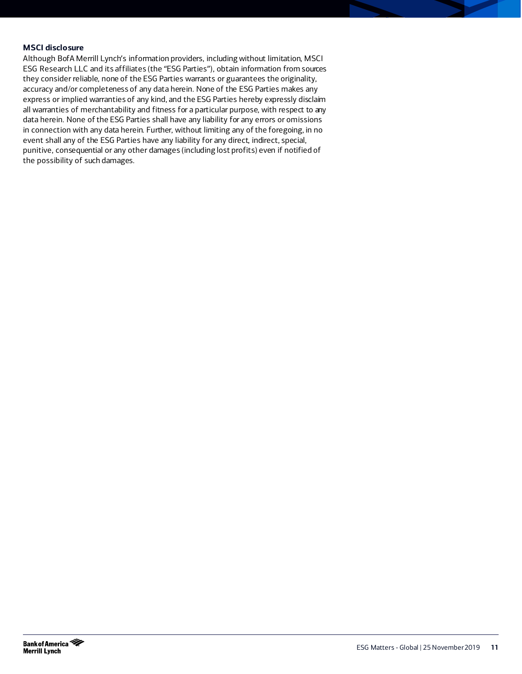#### **MSCI disclosure**

Although BofA Merrill Lynch's information providers, including without limitation, MSCI ESG Research LLC and its affiliates (the "ESG Parties"), obtain information from sources they consider reliable, none of the ESG Parties warrants or guarantees the originality, accuracy and/or completeness of any data herein. None of the ESG Parties makes any express or implied warranties of any kind, and the ESG Parties hereby expressly disclaim all warranties of merchantability and fitness for a particular purpose, with respect to any data herein. None of the ESG Parties shall have any liability for any errors or omissions in connection with any data herein. Further, without limiting any of the foregoing, in no event shall any of the ESG Parties have any liability for any direct, indirect, special, punitive, consequential or any other damages (including lost profits) even if notified of the possibility of such damages.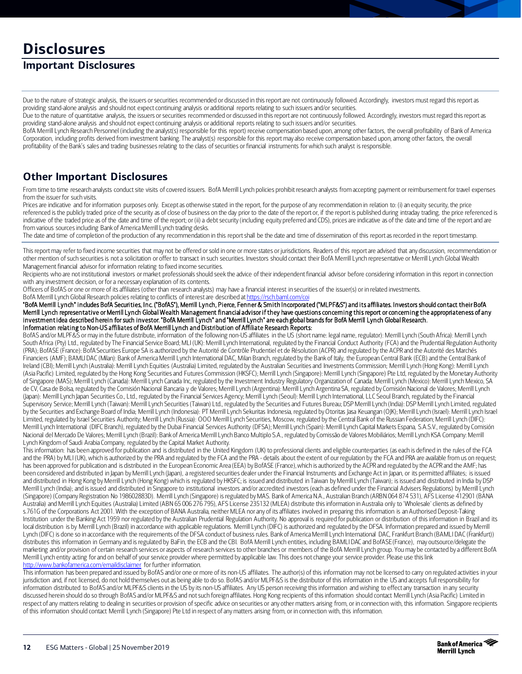# **Disclosures**

# **Important Disclosures**

Due to the nature of strategic analysis, the issuers or securities recommended or discussed in this report are not continuously followed. Accordingly, investors must regard this report as providing stand-alone analysis and should not expect continuing analysis or additional reports relating to such issuers and/or securities.

Due to the nature of quantitative analysis, the issuers or securities recommended or discussed in this report are not continuously followed. Accordingly, investors must regard this report as providing stand-alone analysis and should not expect continuing analysis or additional reports relating to such issuers and/or securities.

BofA Merrill Lynch Research Personnel (including the analyst(s) responsible for this report) receive compensation based upon, among other factors, the overall profitability of Bank of America Corporation, including profits derived from investment banking. The analyst(s) responsible for this report may also receive compensation based upon, among other factors, the overall profitability of the Bank's sales and trading businesses relating to the class of securities or financial instruments for which such analyst is responsible.

# **Other Important Disclosures**

From time to time research analysts conduct site visits of covered issuers. BofA Merrill Lynch policies prohibit research analysts from accepting payment or reimbursement for travel expenses from the issuer for such visits.

Prices are indicative and for information purposes only. Except as otherwise stated in the report, for the purpose of any recommendation in relation to: (i) an equity security, the price referenced is the publicly traded price of the security as of close of business on the day prior to the date of the report or, if the report is published during intraday trading, the price referenced is indicative of the traded price as of the date and time of the report; or (ii) a debt security (including equity preferred and CDS), prices are indicative as of the date and time of the report and are from various sources including Bank of America Merrill Lynch trading desks.

The date and time of completion of the production of any recommendation in this report shall be the date and time of dissemination of this report as recorded in the report timestamp.

This report may refer to fixed income securities that may not be offered or sold in one or more states or jurisdictions. Readers of this report are advised that any discussion, recommendation or other mention of such securities is not a solicitation or offer to transact in such securities. Investors should contact their BofA Merrill Lynch representative or Merrill Lynch Global Wealth Management financial advisor for information relating to fixed income securities.

Recipients who are not institutional investors or market professionals should seek the advice of their independent financial advisor before considering information in this report in connection with any investment decision, or for a necessary explanation of its contents.

Officers of BofAS or one or more of its affiliates (other than research analysts) may have a financial interest in securities of the issuer(s) or in related investments.

BofA Merrill Lynch Global Research policies relating to conflicts of interest are described a[t https://rsch.baml.com/coi](https://rsch.baml.com/coi)

"BofA Merrill Lynch" includes BofA Securities, Inc. ("BofAS"), Merrill Lynch, Pierce, Fenner & Smith Incorporated ("MLPF&S") and its affiliates. Investors should contact their BofA Merrill Lynch representative or Merrill Lynch Global Wealth Management financial advisor if they have questions concerning this report or concerning the appropriateness of any investment idea described herein for such investor. "BofA Merrill Lynch" and "Merrill Lynch" are each global brands for BofA Merrill Lynch Global Research. Information relating to Non-US affiliates of BofA Merrill Lynch and Distribution of Affiliate Research Reports:

BofAS and/or MLPF&S or may in the future distribute, information of the following non-US affiliates in the US (short name: legal name, regulator): Merrill Lynch (South Africa): Merrill Lynch South Africa (Pty) Ltd., regulated by The Financial Service Board; MLI (UK): Merrill Lynch International, regulated by the Financial Conduct Authority (FCA) and the Prudential Regulation Authority (PRA); BofASE (France): BofA Securities Europe SA is authorized by the Autorité de Contrôle Prudentiel et de Résolution (ACPR) and regulated by the ACPR and the Autorité des Marchés Financiers (AMF); BAMLI DAC (Milan): Bank of America Merrill Lynch International DAC, Milan Branch, regulated by the Bank of Italy, the European Central Bank (ECB) and the Central Bank of Ireland (CBI); Merrill Lynch (Australia): Merrill Lynch Equities (Australia) Limited, regulated by the Australian Securities and Investments Commission; Merrill Lynch (Hong Kong): Merrill Lynch (Asia Pacific) Limited, regulated by the Hong Kong Securities and Futures Commission (HKSFC); Merrill Lynch (Singapore): Merrill Lynch (Singapore) Pte Ltd, regulated by the Monetary Authority of Singapore (MAS); Merrill Lynch (Canada): Merrill Lynch Canada Inc, regulated by the Investment Industry Regulatory Organization of Canada; Merrill Lynch (Mexico): Merrill Lynch Mexico, SA de CV, Casa de Bolsa, regulated by the Comisión Nacional Bancaria y de Valores; Merrill Lynch (Argentina): Merrill Lynch Argentina SA, regulated by Comisión Nacional de Valores; Merrill Lynch (Japan): Merrill Lynch Japan Securities Co., Ltd., regulated by the Financial Services Agency; Merrill Lynch (Seoul): Merrill Lynch International, LLC Seoul Branch, regulated by the Financial Supervisory Service; Merrill Lynch (Taiwan): Merrill Lynch Securities (Taiwan) Ltd., regulated by the Securities and Futures Bureau; DSP Merrill Lynch (India): DSP Merrill Lynch Limited, regulated by the Securities and Exchange Board of India; Merrill Lynch (Indonesia): PT Merrill Lynch Sekuritas Indonesia, regulated by Otoritas Jasa Keuangan (OJK); Merrill Lynch (Israel): Merrill Lynch Israel): Merrill Lynch Israel Limited, regulated by Israel Securities Authority; Merrill Lynch (Russia): OOO Merrill Lynch Securities, Moscow, regulated by the Central Bank of the Russian Federation; Merrill Lynch (DIFC): Merrill Lynch International (DIFC Branch), regulated by the Dubai Financial Services Authority (DFSA); Merrill Lynch (Spain): Merrill Lynch Capital Markets Espana, S.A.S.V., regulated by Comisión Nacional del Mercado De Valores; Merrill Lynch (Brazil): Bank of America Merrill Lynch Banco Multiplo S.A., regulated by Comissão de Valores Mobiliários; Merrill Lynch KSA Company: Merrill Lynch Kingdom of Saudi Arabia Company, regulated by the Capital Market Authority.

This information: has been approved for publication and is distributed in the United Kingdom (UK) to professional clients and eligible counterparties (as each is defined in the rules of the FCA and the PRA) by MLI (UK), which is authorized by the PRA and regulated by the FCA and the PRA - details about the extent of our regulation by the FCA and PRA are available from us on request; has been approved for publication and is distributed in the European Economic Area (EEA) by BofASE (France), which is authorized by the ACPR and regulated by the ACPR and the AMF; has been considered and distributed in Japan by Merrill Lynch (Japan), a registered securities dealer under the Financial Instruments and Exchange Act in Japan, or its permitted affiliates; is issued and distributed in Hong Kong by Merrill Lynch (Hong Kong) which is regulated by HKSFC; is issued and distributed in Taiwan by Merrill Lynch (Taiwan); is issued and distributed in India by DSP Merrill Lynch (India); and is issued and distributed in Singapore to institutional investors and/or accredited investors (each as defined under the Financial Advisers Regulations) by Merrill Lynch (Singapore) (Company Registration No 198602883D). Merrill Lynch (Singapore) is regulated by MAS. Bank of America N.A., Australian Branch (ARBN 064 874 531), AFS License 412901 (BANA Australia) and Merrill Lynch Equities (Australia) Limited (ABN 65 006 276 795), AFS License 235132 (MLEA) distribute this information in Australia only to 'Wholesale' clients as defined by s.761G of the Corporations Act 2001. With the exception of BANA Australia, neither MLEA nor any of its affiliates involved in preparing this information is an Authorised Deposit-Taking Institution under the Banking Act 1959 nor regulated by the Australian Prudential Regulation Authority. No approval is required for publication or distribution of this information in Brazil and its local distribution is by Merrill Lynch (Brazil) in accordance with applicable regulations. Merrill Lynch (DIFC) is authorized and regulated by the DFSA. Information prepared and issued by Merrill Lynch (DIFC) is done so in accordance with the requirements of the DFSA conduct of business rules. Bank of America Merrill Lynch International DAC, Frankfurt Branch (BAMLI DAC (Frankfurt)) distributes this information in Germany and is regulated by BaFin, the ECB and the CBI. BofA Merrill Lynch entities, including BAMLI DAC and BofASE (France), may outsource/delegate the marketing and/or provision of certain research services or aspects of research services to other branches or members of the BofA Merrill Lynch group. You may be contacted by a different BofA Merrill Lynch entity acting for and on behalf of your service provider where permitted by applicable law. This does not change your service provider. Please use this link <http://www.bankofamerica.com/emaildisclaimer> for further information.

This information has been prepared and issued by BofAS and/or one or more of its non-US affiliates. The author(s) of this information may not be licensed to carry on regulated activities in your jurisdiction and, if not licensed, do not hold themselves out as being able to do so. BofAS and/or MLPF&S is the distributor of this information in the US and accepts full responsibility for information distributed to BofAS and/or MLPF&S clients in the US by its non-US affiliates. Any US person receiving this information and wishing to effect any transaction in any security discussed herein should do so through BofAS and/or MLPF&S and not such foreign affiliates. Hong Kong recipients of this information should contact Merrill Lynch (Asia Pacific) Limited in respect of any matters relating to dealing in securities or provision of specific advice on securities or any other matters arising from, or in connection with, this information. Singapore recipients of this information should contact Merrill Lynch (Singapore) Pte Ltd in respect of any matters arising from, or in connection with, this information.